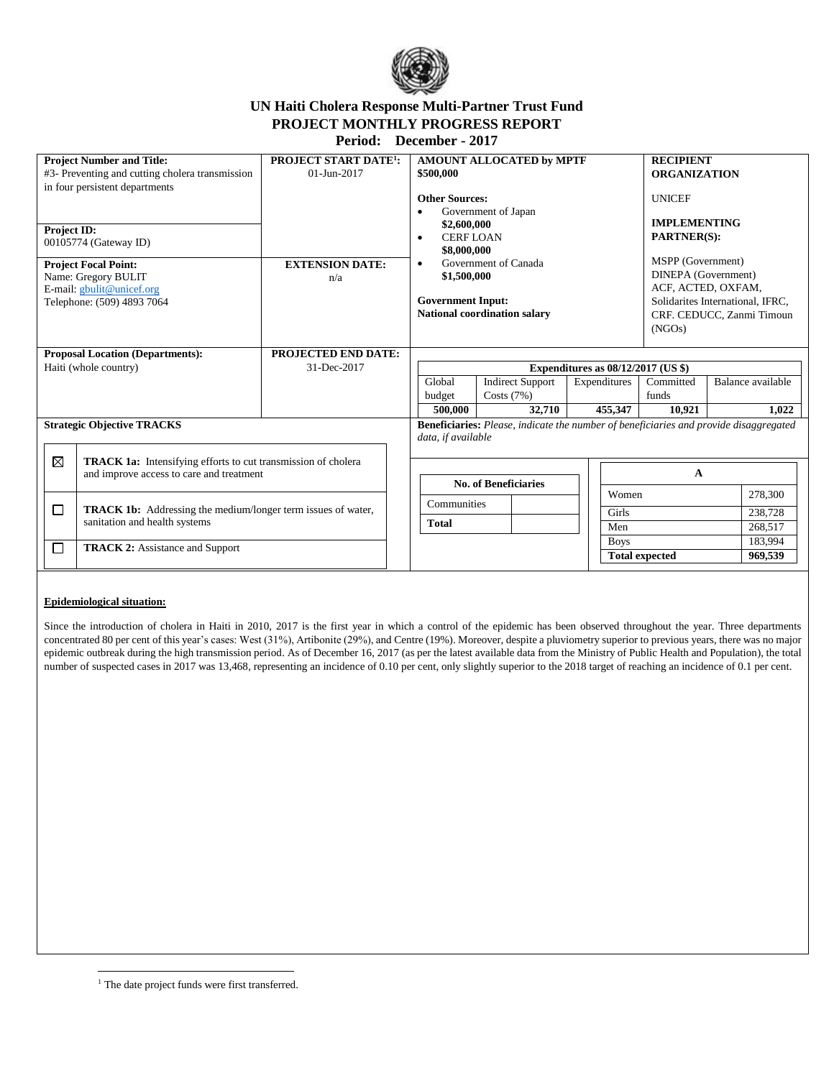

# **UN Haiti Cholera Response Multi-Partner Trust Fund PROJECT MONTHLY PROGRESS REPORT**

**Period: December - 2017**

| <b>Project Number and Title:</b><br>#3- Preventing and cutting cholera transmission                                                    |                                                                                                                  | <b>PROJECT START DATE<sup>1</sup>:</b><br>$01 - Jun - 2017$ | <b>AMOUNT ALLOCATED by MPTF</b><br>\$500,000                                                                                                                                        |  |             |                       | <b>RECIPIENT</b><br><b>ORGANIZATION</b>                                                                                                                         |                            |         |
|----------------------------------------------------------------------------------------------------------------------------------------|------------------------------------------------------------------------------------------------------------------|-------------------------------------------------------------|-------------------------------------------------------------------------------------------------------------------------------------------------------------------------------------|--|-------------|-----------------------|-----------------------------------------------------------------------------------------------------------------------------------------------------------------|----------------------------|---------|
| in four persistent departments<br><b>Project ID:</b>                                                                                   |                                                                                                                  |                                                             | <b>Other Sources:</b><br>Government of Japan<br>\$2,600,000                                                                                                                         |  |             |                       | <b>UNICEF</b><br><b>IMPLEMENTING</b>                                                                                                                            |                            |         |
| 00105774 (Gateway ID)<br><b>Project Focal Point:</b><br>Name: Gregory BULIT<br>E-mail: gbulit@unicef.org<br>Telephone: (509) 4893 7064 |                                                                                                                  | <b>EXTENSION DATE:</b><br>n/a                               | <b>CERFLOAN</b><br>$\bullet$<br>\$8,000,000<br>Government of Canada<br>$\bullet$<br>\$1,500,000<br><b>Government Input:</b><br><b>National coordination salary</b>                  |  |             |                       | <b>PARTNER(S):</b><br>MSPP (Government)<br>DINEPA (Government)<br>ACF, ACTED, OXFAM,<br>Solidarites International, IFRC,<br>CRF. CEDUCC, Zanmi Timoun<br>(NGOs) |                            |         |
| <b>Proposal Location (Departments):</b><br>Haiti (whole country)                                                                       |                                                                                                                  | <b>PROJECTED END DATE:</b><br>31-Dec-2017                   | Expenditures as $08/12/2017$ (US \$)<br>Global<br><b>Indirect Support</b><br>Expenditures<br>Committed<br>Costs $(7%)$<br>budget<br>funds<br>32,710<br>500,000<br>455,347<br>10,921 |  |             |                       |                                                                                                                                                                 | Balance available<br>1,022 |         |
| <b>Strategic Objective TRACKS</b>                                                                                                      |                                                                                                                  |                                                             | <b>Beneficiaries:</b> Please, indicate the number of beneficiaries and provide disaggregated<br>data, if available                                                                  |  |             |                       |                                                                                                                                                                 |                            |         |
| ⊠                                                                                                                                      | <b>TRACK 1a:</b> Intensifying efforts to cut transmission of cholera<br>and improve access to care and treatment |                                                             | <b>No. of Beneficiaries</b>                                                                                                                                                         |  |             | A<br>278,300<br>Women |                                                                                                                                                                 |                            |         |
| □                                                                                                                                      | <b>TRACK 1b:</b> Addressing the medium/longer term issues of water,                                              |                                                             | Communities                                                                                                                                                                         |  | Girls       |                       |                                                                                                                                                                 |                            | 238,728 |
|                                                                                                                                        | sanitation and health systems                                                                                    |                                                             | <b>Total</b>                                                                                                                                                                        |  | Men         |                       |                                                                                                                                                                 | 268,517<br>183,994         |         |
| □<br><b>TRACK 2:</b> Assistance and Support                                                                                            |                                                                                                                  |                                                             |                                                                                                                                                                                     |  | <b>Boys</b> | <b>Total expected</b> |                                                                                                                                                                 | 969,539                    |         |

## **Epidemiological situation:**

Since the introduction of cholera in Haiti in 2010, 2017 is the first year in which a control of the epidemic has been observed throughout the year. Three departments concentrated 80 per cent of this year's cases: West (31%), Artibonite (29%), and Centre (19%). Moreover, despite a pluviometry superior to previous years, there was no major epidemic outbreak during the high transmission period. As of December 16, 2017 (as per the latest available data from the Ministry of Public Health and Population), the total number of suspected cases in 2017 was 13,468, representing an incidence of 0.10 per cent, only slightly superior to the 2018 target of reaching an incidence of 0.1 per cent.

 $\overline{\phantom{a}}$ <sup>1</sup> The date project funds were first transferred.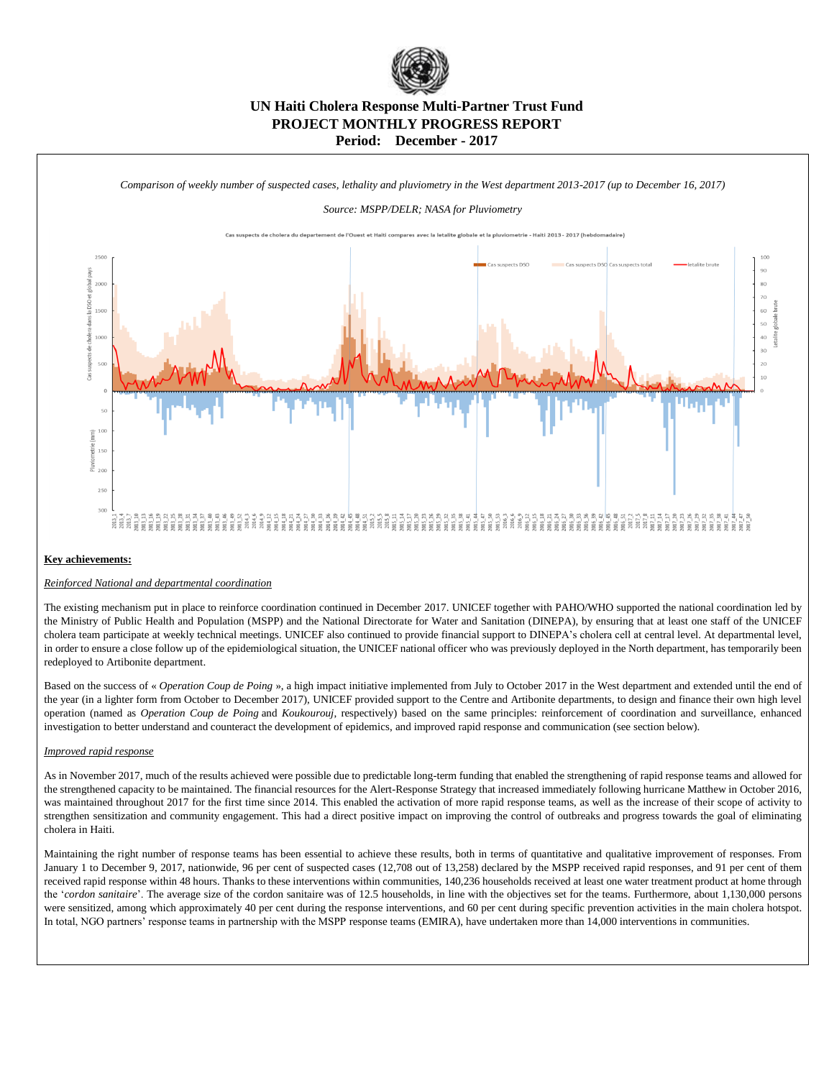

# **UN Haiti Cholera Response Multi-Partner Trust Fund PROJECT MONTHLY PROGRESS REPORT Period: December - 2017**



#### **Key achievements:**

### *Reinforced National and departmental coordination*

The existing mechanism put in place to reinforce coordination continued in December 2017. UNICEF together with PAHO/WHO supported the national coordination led by the Ministry of Public Health and Population (MSPP) and the National Directorate for Water and Sanitation (DINEPA), by ensuring that at least one staff of the UNICEF cholera team participate at weekly technical meetings. UNICEF also continued to provide financial support to DINEPA's cholera cell at central level. At departmental level, in order to ensure a close follow up of the epidemiological situation, the UNICEF national officer who was previously deployed in the North department, has temporarily been redeployed to Artibonite department.

Based on the success of « *Operation Coup de Poing* », a high impact initiative implemented from July to October 2017 in the West department and extended until the end of the year (in a lighter form from October to December 2017), UNICEF provided support to the Centre and Artibonite departments, to design and finance their own high level operation (named as *Operation Coup de Poing* and *Koukourouj*, respectively) based on the same principles: reinforcement of coordination and surveillance, enhanced investigation to better understand and counteract the development of epidemics, and improved rapid response and communication (see section below).

#### *Improved rapid response*

As in November 2017, much of the results achieved were possible due to predictable long-term funding that enabled the strengthening of rapid response teams and allowed for the strengthened capacity to be maintained. The financial resources for the Alert-Response Strategy that increased immediately following hurricane Matthew in October 2016, was maintained throughout 2017 for the first time since 2014. This enabled the activation of more rapid response teams, as well as the increase of their scope of activity to strengthen sensitization and community engagement. This had a direct positive impact on improving the control of outbreaks and progress towards the goal of eliminating cholera in Haiti.

Maintaining the right number of response teams has been essential to achieve these results, both in terms of quantitative and qualitative improvement of responses. From January 1 to December 9, 2017, nationwide, 96 per cent of suspected cases (12,708 out of 13,258) declared by the MSPP received rapid responses, and 91 per cent of them received rapid response within 48 hours. Thanks to these interventions within communities, 140,236 households received at least one water treatment product at home through the '*cordon sanitaire*'. The average size of the cordon sanitaire was of 12.5 households, in line with the objectives set for the teams. Furthermore, about 1,130,000 persons were sensitized, among which approximately 40 per cent during the response interventions, and 60 per cent during specific prevention activities in the main cholera hotspot. In total, NGO partners' response teams in partnership with the MSPP response teams (EMIRA), have undertaken more than 14,000 interventions in communities.